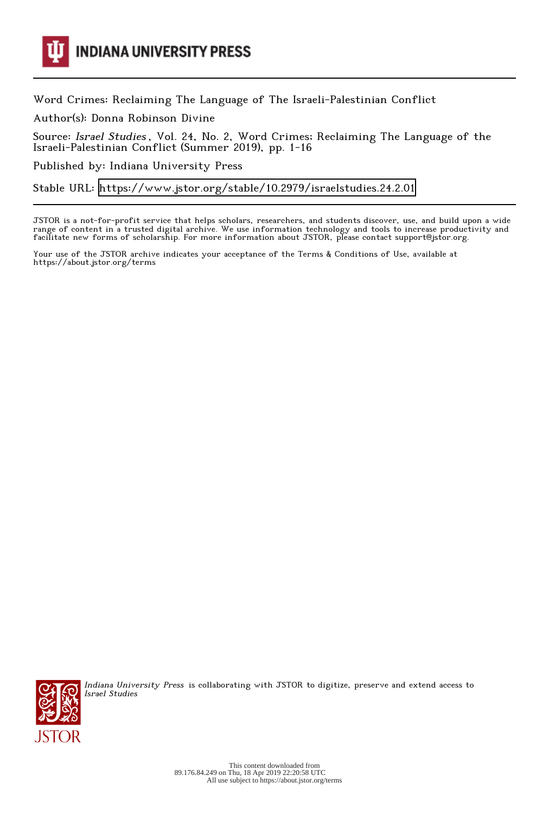

**INDIANA UNIVERSITY PRESS** 

Word Crimes: Reclaiming The Language of The Israeli-Palestinian Conflict

Author(s): Donna Robinson Divine

Source: Israel Studies , Vol. 24, No. 2, Word Crimes; Reclaiming The Language of the Israeli-Palestinian Conflict (Summer 2019), pp. 1-16

Published by: Indiana University Press

Stable URL:<https://www.jstor.org/stable/10.2979/israelstudies.24.2.01>

JSTOR is a not-for-profit service that helps scholars, researchers, and students discover, use, and build upon a wide range of content in a trusted digital archive. We use information technology and tools to increase productivity and facilitate new forms of scholarship. For more information about JSTOR, please contact support@jstor.org.

Your use of the JSTOR archive indicates your acceptance of the Terms & Conditions of Use, available at https://about.jstor.org/terms



Indiana University Press is collaborating with JSTOR to digitize, preserve and extend access to Israel Studies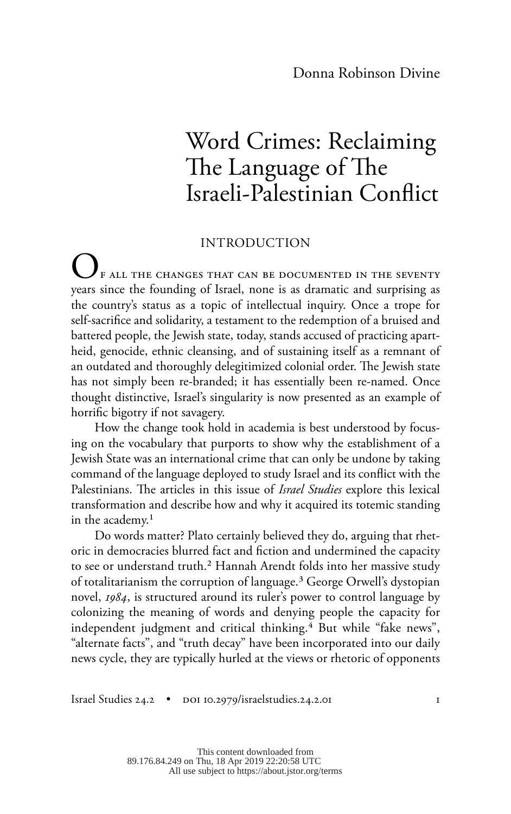# Word Crimes: Reclaiming The Language of The Israeli-Palestinian Conflict

### INTRODUCTION

F ALL THE CHANGES THAT CAN BE DOCUMENTED IN THE SEVENTY years since the founding of Israel, none is as dramatic and surprising as the country's status as a topic of intellectual inquiry. Once a trope for self-sacrifice and solidarity, a testament to the redemption of a bruised and battered people, the Jewish state, today, stands accused of practicing apartheid, genocide, ethnic cleansing, and of sustaining itself as a remnant of an outdated and thoroughly delegitimized colonial order. The Jewish state has not simply been re-branded; it has essentially been re-named. Once thought distinctive, Israel's singularity is now presented as an example of horrific bigotry if not savagery.

How the change took hold in academia is best understood by focusing on the vocabulary that purports to show why the establishment of a Jewish State was an international crime that can only be undone by taking command of the language deployed to study Israel and its conflict with the Palestinians. The articles in this issue of *Israel Studies* explore this lexical transformation and describe how and why it acquired its totemic standing in the academy.<sup>1</sup>

Do words matter? Plato certainly believed they do, arguing that rhetoric in democracies blurred fact and fiction and undermined the capacity to see or understand truth.2 Hannah Arendt folds into her massive study of totalitarianism the corruption of language.<sup>3</sup> George Orwell's dystopian novel, *1984*, is structured around its ruler's power to control language by colonizing the meaning of words and denying people the capacity for independent judgment and critical thinking.<sup>4</sup> But while "fake news", "alternate facts", and "truth decay" have been incorporated into our daily news cycle, they are typically hurled at the views or rhetoric of opponents

Israel Studies 24.2 • doi 10.2979/israelstudies.24.2.01 1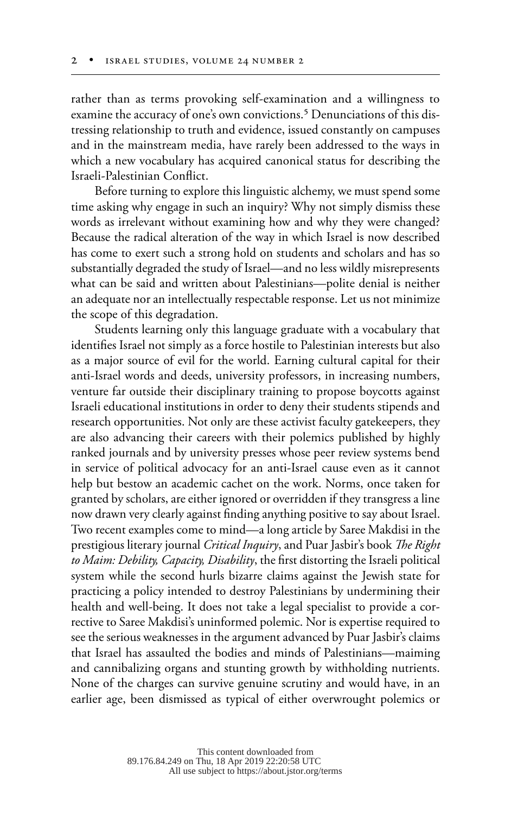rather than as terms provoking self-examination and a willingness to examine the accuracy of one's own convictions.<sup>5</sup> Denunciations of this distressing relationship to truth and evidence, issued constantly on campuses and in the mainstream media, have rarely been addressed to the ways in which a new vocabulary has acquired canonical status for describing the Israeli-Palestinian Conflict.

Before turning to explore this linguistic alchemy, we must spend some time asking why engage in such an inquiry? Why not simply dismiss these words as irrelevant without examining how and why they were changed? Because the radical alteration of the way in which Israel is now described has come to exert such a strong hold on students and scholars and has so substantially degraded the study of Israel—and no less wildly misrepresents what can be said and written about Palestinians—polite denial is neither an adequate nor an intellectually respectable response. Let us not minimize the scope of this degradation.

Students learning only this language graduate with a vocabulary that identifies Israel not simply as a force hostile to Palestinian interests but also as a major source of evil for the world. Earning cultural capital for their anti-Israel words and deeds, university professors, in increasing numbers, venture far outside their disciplinary training to propose boycotts against Israeli educational institutions in order to deny their students stipends and research opportunities. Not only are these activist faculty gatekeepers, they are also advancing their careers with their polemics published by highly ranked journals and by university presses whose peer review systems bend in service of political advocacy for an anti-Israel cause even as it cannot help but bestow an academic cachet on the work. Norms, once taken for granted by scholars, are either ignored or overridden if they transgress a line now drawn very clearly against finding anything positive to say about Israel. Two recent examples come to mind—a long article by Saree Makdisi in the prestigious literary journal *Critical Inquiry*, and Puar Jasbir's book *The Right to Maim: Debility, Capacity, Disability*, the first distorting the Israeli political system while the second hurls bizarre claims against the Jewish state for practicing a policy intended to destroy Palestinians by undermining their health and well-being. It does not take a legal specialist to provide a corrective to Saree Makdisi's uninformed polemic. Nor is expertise required to see the serious weaknesses in the argument advanced by Puar Jasbir's claims that Israel has assaulted the bodies and minds of Palestinians—maiming and cannibalizing organs and stunting growth by withholding nutrients. None of the charges can survive genuine scrutiny and would have, in an earlier age, been dismissed as typical of either overwrought polemics or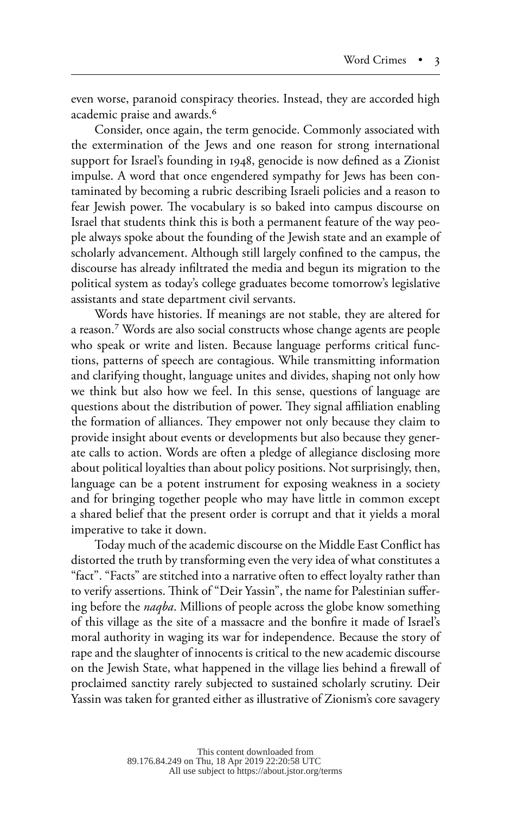even worse, paranoid conspiracy theories. Instead, they are accorded high academic praise and awards.6

Consider, once again, the term genocide. Commonly associated with the extermination of the Jews and one reason for strong international support for Israel's founding in 1948, genocide is now defined as a Zionist impulse. A word that once engendered sympathy for Jews has been contaminated by becoming a rubric describing Israeli policies and a reason to fear Jewish power. The vocabulary is so baked into campus discourse on Israel that students think this is both a permanent feature of the way people always spoke about the founding of the Jewish state and an example of scholarly advancement. Although still largely confined to the campus, the discourse has already infiltrated the media and begun its migration to the political system as today's college graduates become tomorrow's legislative assistants and state department civil servants.

Words have histories. If meanings are not stable, they are altered for a reason.7 Words are also social constructs whose change agents are people who speak or write and listen. Because language performs critical functions, patterns of speech are contagious. While transmitting information and clarifying thought, language unites and divides, shaping not only how we think but also how we feel. In this sense, questions of language are questions about the distribution of power. They signal affiliation enabling the formation of alliances. They empower not only because they claim to provide insight about events or developments but also because they generate calls to action. Words are often a pledge of allegiance disclosing more about political loyalties than about policy positions. Not surprisingly, then, language can be a potent instrument for exposing weakness in a society and for bringing together people who may have little in common except a shared belief that the present order is corrupt and that it yields a moral imperative to take it down.

Today much of the academic discourse on the Middle East Conflict has distorted the truth by transforming even the very idea of what constitutes a "fact". "Facts" are stitched into a narrative often to effect loyalty rather than to verify assertions. Think of "Deir Yassin", the name for Palestinian suffering before the *naqba*. Millions of people across the globe know something of this village as the site of a massacre and the bonfire it made of Israel's moral authority in waging its war for independence. Because the story of rape and the slaughter of innocents is critical to the new academic discourse on the Jewish State, what happened in the village lies behind a firewall of proclaimed sanctity rarely subjected to sustained scholarly scrutiny. Deir Yassin was taken for granted either as illustrative of Zionism's core savagery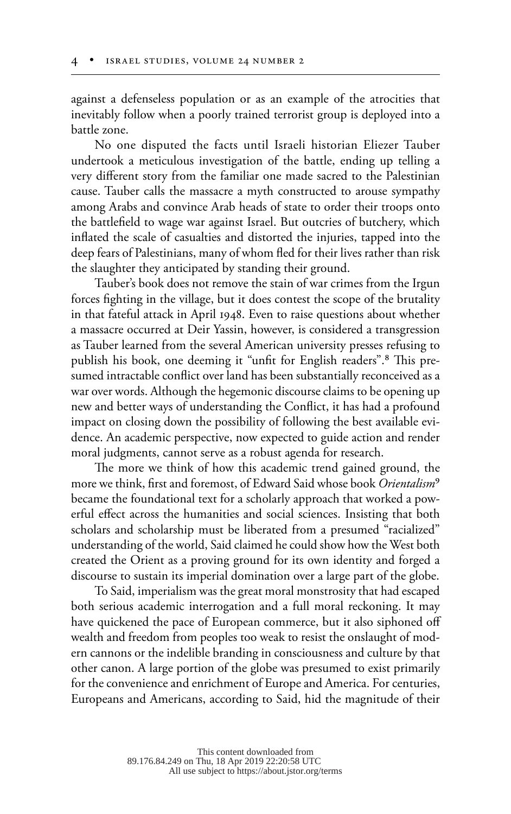against a defenseless population or as an example of the atrocities that inevitably follow when a poorly trained terrorist group is deployed into a battle zone.

No one disputed the facts until Israeli historian Eliezer Tauber undertook a meticulous investigation of the battle, ending up telling a very different story from the familiar one made sacred to the Palestinian cause. Tauber calls the massacre a myth constructed to arouse sympathy among Arabs and convince Arab heads of state to order their troops onto the battlefield to wage war against Israel. But outcries of butchery, which inflated the scale of casualties and distorted the injuries, tapped into the deep fears of Palestinians, many of whom fled for their lives rather than risk the slaughter they anticipated by standing their ground.

Tauber's book does not remove the stain of war crimes from the Irgun forces fighting in the village, but it does contest the scope of the brutality in that fateful attack in April 1948. Even to raise questions about whether a massacre occurred at Deir Yassin, however, is considered a transgression as Tauber learned from the several American university presses refusing to publish his book, one deeming it "unfit for English readers".8 This presumed intractable conflict over land has been substantially reconceived as a war over words. Although the hegemonic discourse claims to be opening up new and better ways of understanding the Conflict, it has had a profound impact on closing down the possibility of following the best available evidence. An academic perspective, now expected to guide action and render moral judgments, cannot serve as a robust agenda for research.

The more we think of how this academic trend gained ground, the more we think, first and foremost, of Edward Said whose book *Orientalism*9 became the foundational text for a scholarly approach that worked a powerful effect across the humanities and social sciences. Insisting that both scholars and scholarship must be liberated from a presumed "racialized" understanding of the world, Said claimed he could show how the West both created the Orient as a proving ground for its own identity and forged a discourse to sustain its imperial domination over a large part of the globe.

To Said, imperialism was the great moral monstrosity that had escaped both serious academic interrogation and a full moral reckoning. It may have quickened the pace of European commerce, but it also siphoned off wealth and freedom from peoples too weak to resist the onslaught of modern cannons or the indelible branding in consciousness and culture by that other canon. A large portion of the globe was presumed to exist primarily for the convenience and enrichment of Europe and America. For centuries, Europeans and Americans, according to Said, hid the magnitude of their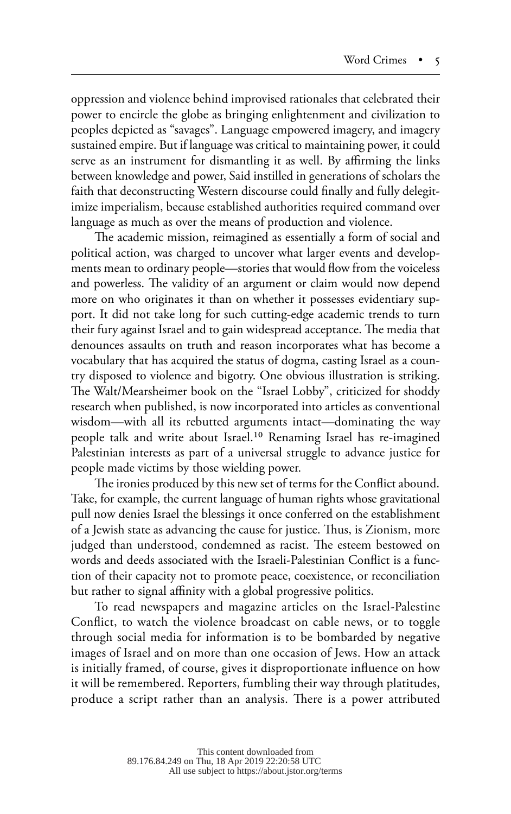oppression and violence behind improvised rationales that celebrated their power to encircle the globe as bringing enlightenment and civilization to peoples depicted as "savages". Language empowered imagery, and imagery sustained empire. But if language was critical to maintaining power, it could serve as an instrument for dismantling it as well. By affirming the links between knowledge and power, Said instilled in generations of scholars the faith that deconstructing Western discourse could finally and fully delegitimize imperialism, because established authorities required command over language as much as over the means of production and violence.

The academic mission, reimagined as essentially a form of social and political action, was charged to uncover what larger events and developments mean to ordinary people—stories that would flow from the voiceless and powerless. The validity of an argument or claim would now depend more on who originates it than on whether it possesses evidentiary support. It did not take long for such cutting-edge academic trends to turn their fury against Israel and to gain widespread acceptance. The media that denounces assaults on truth and reason incorporates what has become a vocabulary that has acquired the status of dogma, casting Israel as a country disposed to violence and bigotry. One obvious illustration is striking. The Walt/Mearsheimer book on the "Israel Lobby", criticized for shoddy research when published, is now incorporated into articles as conventional wisdom—with all its rebutted arguments intact—dominating the way people talk and write about Israel.10 Renaming Israel has re-imagined Palestinian interests as part of a universal struggle to advance justice for people made victims by those wielding power.

The ironies produced by this new set of terms for the Conflict abound. Take, for example, the current language of human rights whose gravitational pull now denies Israel the blessings it once conferred on the establishment of a Jewish state as advancing the cause for justice. Thus, is Zionism, more judged than understood, condemned as racist. The esteem bestowed on words and deeds associated with the Israeli-Palestinian Conflict is a function of their capacity not to promote peace, coexistence, or reconciliation but rather to signal affinity with a global progressive politics.

To read newspapers and magazine articles on the Israel-Palestine Conflict, to watch the violence broadcast on cable news, or to toggle through social media for information is to be bombarded by negative images of Israel and on more than one occasion of Jews. How an attack is initially framed, of course, gives it disproportionate influence on how it will be remembered. Reporters, fumbling their way through platitudes, produce a script rather than an analysis. There is a power attributed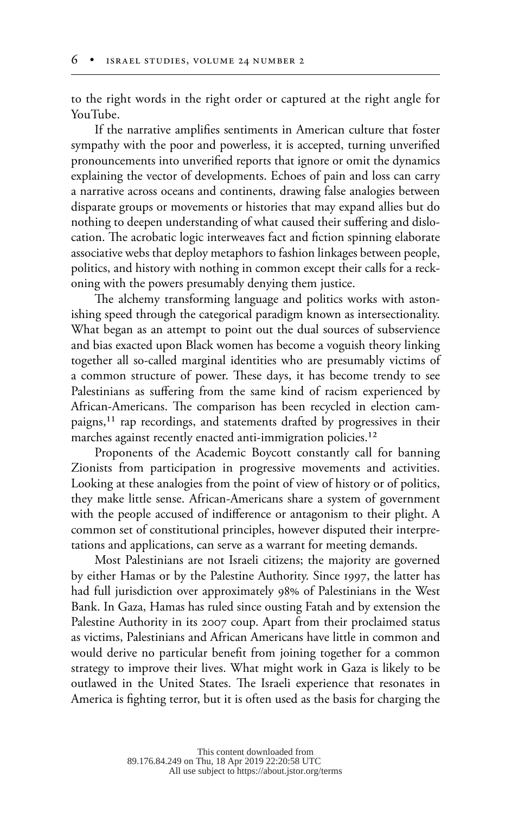to the right words in the right order or captured at the right angle for YouTube.

If the narrative amplifies sentiments in American culture that foster sympathy with the poor and powerless, it is accepted, turning unverified pronouncements into unverified reports that ignore or omit the dynamics explaining the vector of developments. Echoes of pain and loss can carry a narrative across oceans and continents, drawing false analogies between disparate groups or movements or histories that may expand allies but do nothing to deepen understanding of what caused their suffering and dislocation. The acrobatic logic interweaves fact and fiction spinning elaborate associative webs that deploy metaphors to fashion linkages between people, politics, and history with nothing in common except their calls for a reckoning with the powers presumably denying them justice.

The alchemy transforming language and politics works with astonishing speed through the categorical paradigm known as intersectionality. What began as an attempt to point out the dual sources of subservience and bias exacted upon Black women has become a voguish theory linking together all so-called marginal identities who are presumably victims of a common structure of power. These days, it has become trendy to see Palestinians as suffering from the same kind of racism experienced by African-Americans. The comparison has been recycled in election campaigns,<sup>11</sup> rap recordings, and statements drafted by progressives in their marches against recently enacted anti-immigration policies.<sup>12</sup>

Proponents of the Academic Boycott constantly call for banning Zionists from participation in progressive movements and activities. Looking at these analogies from the point of view of history or of politics, they make little sense. African-Americans share a system of government with the people accused of indifference or antagonism to their plight. A common set of constitutional principles, however disputed their interpretations and applications, can serve as a warrant for meeting demands.

Most Palestinians are not Israeli citizens; the majority are governed by either Hamas or by the Palestine Authority. Since 1997, the latter has had full jurisdiction over approximately 98% of Palestinians in the West Bank. In Gaza, Hamas has ruled since ousting Fatah and by extension the Palestine Authority in its 2007 coup. Apart from their proclaimed status as victims, Palestinians and African Americans have little in common and would derive no particular benefit from joining together for a common strategy to improve their lives. What might work in Gaza is likely to be outlawed in the United States. The Israeli experience that resonates in America is fighting terror, but it is often used as the basis for charging the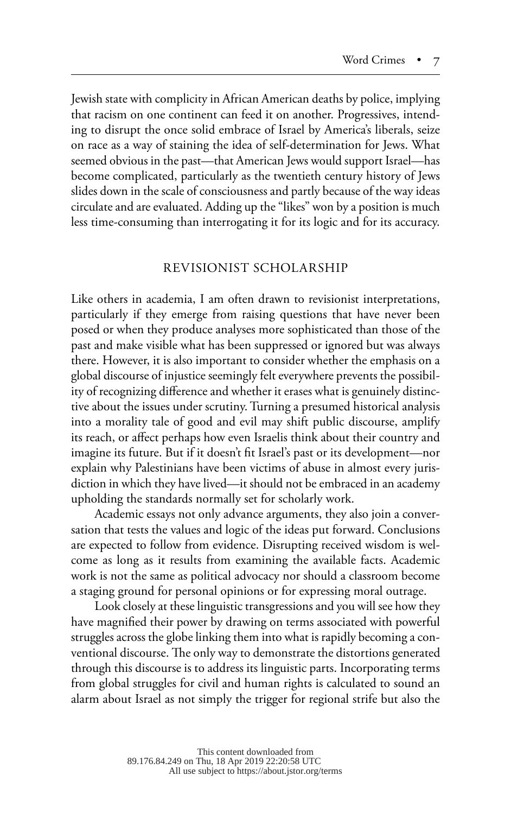Jewish state with complicity in African American deaths by police, implying that racism on one continent can feed it on another. Progressives, intending to disrupt the once solid embrace of Israel by America's liberals, seize on race as a way of staining the idea of self-determination for Jews. What seemed obvious in the past—that American Jews would support Israel—has become complicated, particularly as the twentieth century history of Jews slides down in the scale of consciousness and partly because of the way ideas circulate and are evaluated. Adding up the "likes" won by a position is much less time-consuming than interrogating it for its logic and for its accuracy.

#### REVISIONIST SCHOLARSHIP

Like others in academia, I am often drawn to revisionist interpretations, particularly if they emerge from raising questions that have never been posed or when they produce analyses more sophisticated than those of the past and make visible what has been suppressed or ignored but was always there. However, it is also important to consider whether the emphasis on a global discourse of injustice seemingly felt everywhere prevents the possibility of recognizing difference and whether it erases what is genuinely distinctive about the issues under scrutiny. Turning a presumed historical analysis into a morality tale of good and evil may shift public discourse, amplify its reach, or affect perhaps how even Israelis think about their country and imagine its future. But if it doesn't fit Israel's past or its development—nor explain why Palestinians have been victims of abuse in almost every jurisdiction in which they have lived—it should not be embraced in an academy upholding the standards normally set for scholarly work.

Academic essays not only advance arguments, they also join a conversation that tests the values and logic of the ideas put forward. Conclusions are expected to follow from evidence. Disrupting received wisdom is welcome as long as it results from examining the available facts. Academic work is not the same as political advocacy nor should a classroom become a staging ground for personal opinions or for expressing moral outrage.

Look closely at these linguistic transgressions and you will see how they have magnified their power by drawing on terms associated with powerful struggles across the globe linking them into what is rapidly becoming a conventional discourse. The only way to demonstrate the distortions generated through this discourse is to address its linguistic parts. Incorporating terms from global struggles for civil and human rights is calculated to sound an alarm about Israel as not simply the trigger for regional strife but also the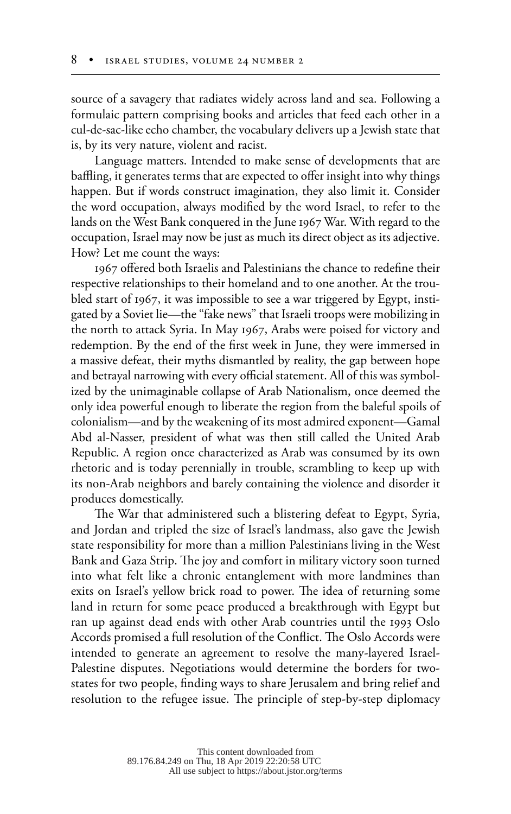source of a savagery that radiates widely across land and sea. Following a formulaic pattern comprising books and articles that feed each other in a cul-de-sac-like echo chamber, the vocabulary delivers up a Jewish state that is, by its very nature, violent and racist.

Language matters. Intended to make sense of developments that are baffling, it generates terms that are expected to offer insight into why things happen. But if words construct imagination, they also limit it. Consider the word occupation, always modified by the word Israel, to refer to the lands on the West Bank conquered in the June 1967 War. With regard to the occupation, Israel may now be just as much its direct object as its adjective. How? Let me count the ways:

1967 offered both Israelis and Palestinians the chance to redefine their respective relationships to their homeland and to one another. At the troubled start of 1967, it was impossible to see a war triggered by Egypt, instigated by a Soviet lie—the "fake news" that Israeli troops were mobilizing in the north to attack Syria. In May 1967, Arabs were poised for victory and redemption. By the end of the first week in June, they were immersed in a massive defeat, their myths dismantled by reality, the gap between hope and betrayal narrowing with every official statement. All of this was symbolized by the unimaginable collapse of Arab Nationalism, once deemed the only idea powerful enough to liberate the region from the baleful spoils of colonialism—and by the weakening of its most admired exponent—Gamal Abd al-Nasser, president of what was then still called the United Arab Republic. A region once characterized as Arab was consumed by its own rhetoric and is today perennially in trouble, scrambling to keep up with its non-Arab neighbors and barely containing the violence and disorder it produces domestically.

The War that administered such a blistering defeat to Egypt, Syria, and Jordan and tripled the size of Israel's landmass, also gave the Jewish state responsibility for more than a million Palestinians living in the West Bank and Gaza Strip. The joy and comfort in military victory soon turned into what felt like a chronic entanglement with more landmines than exits on Israel's yellow brick road to power. The idea of returning some land in return for some peace produced a breakthrough with Egypt but ran up against dead ends with other Arab countries until the 1993 Oslo Accords promised a full resolution of the Conflict. The Oslo Accords were intended to generate an agreement to resolve the many-layered Israel-Palestine disputes. Negotiations would determine the borders for twostates for two people, finding ways to share Jerusalem and bring relief and resolution to the refugee issue. The principle of step-by-step diplomacy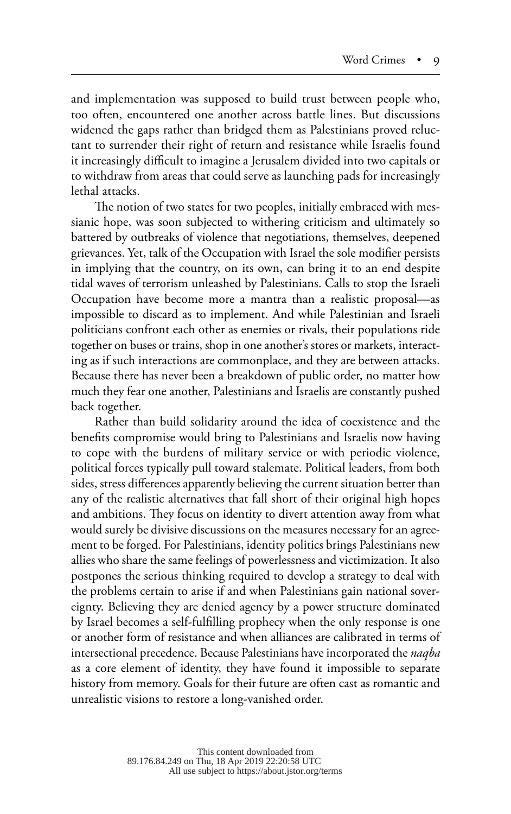and implementation was supposed to build trust between people who, too often, encountered one another across battle lines. But discussions widened the gaps rather than bridged them as Palestinians proved reluctant to surrender their right of return and resistance while Israelis found it increasingly difficult to imagine a Jerusalem divided into two capitals or to withdraw from areas that could serve as launching pads for increasingly lethal attacks.

The notion of two states for two peoples, initially embraced with messianic hope, was soon subjected to withering criticism and ultimately so battered by outbreaks of violence that negotiations, themselves, deepened grievances. Yet, talk of the Occupation with Israel the sole modifier persists in implying that the country, on its own, can bring it to an end despite tidal waves of terrorism unleashed by Palestinians. Calls to stop the Israeli Occupation have become more a mantra than a realistic proposal—as impossible to discard as to implement. And while Palestinian and Israeli politicians confront each other as enemies or rivals, their populations ride together on buses or trains, shop in one another's stores or markets, interacting as if such interactions are commonplace, and they are between attacks. Because there has never been a breakdown of public order, no matter how much they fear one another, Palestinians and Israelis are constantly pushed back together.

Rather than build solidarity around the idea of coexistence and the benefits compromise would bring to Palestinians and Israelis now having to cope with the burdens of military service or with periodic violence, political forces typically pull toward stalemate. Political leaders, from both sides, stress differences apparently believing the current situation better than any of the realistic alternatives that fall short of their original high hopes and ambitions. They focus on identity to divert attention away from what would surely be divisive discussions on the measures necessary for an agreement to be forged. For Palestinians, identity politics brings Palestinians new allies who share the same feelings of powerlessness and victimization. It also postpones the serious thinking required to develop a strategy to deal with the problems certain to arise if and when Palestinians gain national sovereignty. Believing they are denied agency by a power structure dominated by Israel becomes a self-fulfilling prophecy when the only response is one or another form of resistance and when alliances are calibrated in terms of intersectional precedence. Because Palestinians have incorporated the *naqba* as a core element of identity, they have found it impossible to separate history from memory. Goals for their future are often cast as romantic and unrealistic visions to restore a long-vanished order.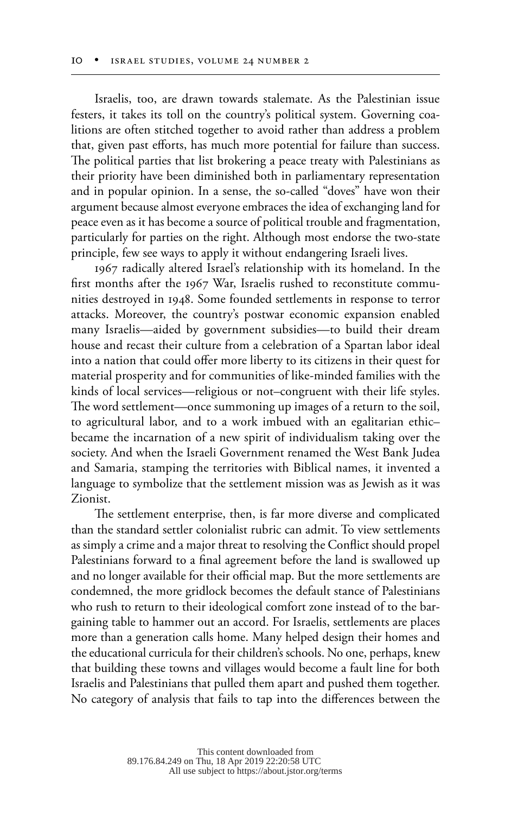Israelis, too, are drawn towards stalemate. As the Palestinian issue festers, it takes its toll on the country's political system. Governing coalitions are often stitched together to avoid rather than address a problem that, given past efforts, has much more potential for failure than success. The political parties that list brokering a peace treaty with Palestinians as their priority have been diminished both in parliamentary representation and in popular opinion. In a sense, the so-called "doves" have won their argument because almost everyone embraces the idea of exchanging land for peace even as it has become a source of political trouble and fragmentation, particularly for parties on the right. Although most endorse the two-state principle, few see ways to apply it without endangering Israeli lives.

1967 radically altered Israel's relationship with its homeland. In the first months after the 1967 War, Israelis rushed to reconstitute communities destroyed in 1948. Some founded settlements in response to terror attacks. Moreover, the country's postwar economic expansion enabled many Israelis—aided by government subsidies—to build their dream house and recast their culture from a celebration of a Spartan labor ideal into a nation that could offer more liberty to its citizens in their quest for material prosperity and for communities of like-minded families with the kinds of local services—religious or not–congruent with their life styles. The word settlement—once summoning up images of a return to the soil, to agricultural labor, and to a work imbued with an egalitarian ethic– became the incarnation of a new spirit of individualism taking over the society. And when the Israeli Government renamed the West Bank Judea and Samaria, stamping the territories with Biblical names, it invented a language to symbolize that the settlement mission was as Jewish as it was Zionist.

The settlement enterprise, then, is far more diverse and complicated than the standard settler colonialist rubric can admit. To view settlements as simply a crime and a major threat to resolving the Conflict should propel Palestinians forward to a final agreement before the land is swallowed up and no longer available for their official map. But the more settlements are condemned, the more gridlock becomes the default stance of Palestinians who rush to return to their ideological comfort zone instead of to the bargaining table to hammer out an accord. For Israelis, settlements are places more than a generation calls home. Many helped design their homes and the educational curricula for their children's schools. No one, perhaps, knew that building these towns and villages would become a fault line for both Israelis and Palestinians that pulled them apart and pushed them together. No category of analysis that fails to tap into the differences between the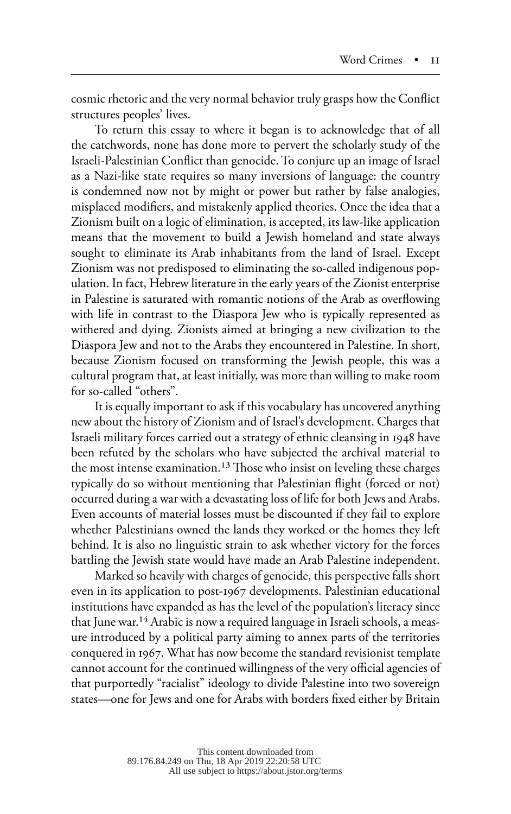cosmic rhetoric and the very normal behavior truly grasps how the Conflict structures peoples' lives.

To return this essay to where it began is to acknowledge that of all the catchwords, none has done more to pervert the scholarly study of the Israeli-Palestinian Conflict than genocide. To conjure up an image of Israel as a Nazi-like state requires so many inversions of language: the country is condemned now not by might or power but rather by false analogies, misplaced modifiers, and mistakenly applied theories. Once the idea that a Zionism built on a logic of elimination, is accepted, its law-like application means that the movement to build a Jewish homeland and state always sought to eliminate its Arab inhabitants from the land of Israel. Except Zionism was not predisposed to eliminating the so-called indigenous population. In fact, Hebrew literature in the early years of the Zionist enterprise in Palestine is saturated with romantic notions of the Arab as overflowing with life in contrast to the Diaspora Jew who is typically represented as withered and dying. Zionists aimed at bringing a new civilization to the Diaspora Jew and not to the Arabs they encountered in Palestine. In short, because Zionism focused on transforming the Jewish people, this was a cultural program that, at least initially, was more than willing to make room for so-called "others".

It is equally important to ask if this vocabulary has uncovered anything new about the history of Zionism and of Israel's development. Charges that Israeli military forces carried out a strategy of ethnic cleansing in 1948 have been refuted by the scholars who have subjected the archival material to the most intense examination.<sup>13</sup> Those who insist on leveling these charges typically do so without mentioning that Palestinian flight (forced or not) occurred during a war with a devastating loss of life for both Jews and Arabs. Even accounts of material losses must be discounted if they fail to explore whether Palestinians owned the lands they worked or the homes they left behind. It is also no linguistic strain to ask whether victory for the forces battling the Jewish state would have made an Arab Palestine independent.

Marked so heavily with charges of genocide, this perspective falls short even in its application to post-1967 developments. Palestinian educational institutions have expanded as has the level of the population's literacy since that June war.14 Arabic is now a required language in Israeli schools, a measure introduced by a political party aiming to annex parts of the territories conquered in 1967. What has now become the standard revisionist template cannot account for the continued willingness of the very official agencies of that purportedly "racialist" ideology to divide Palestine into two sovereign states—one for Jews and one for Arabs with borders fixed either by Britain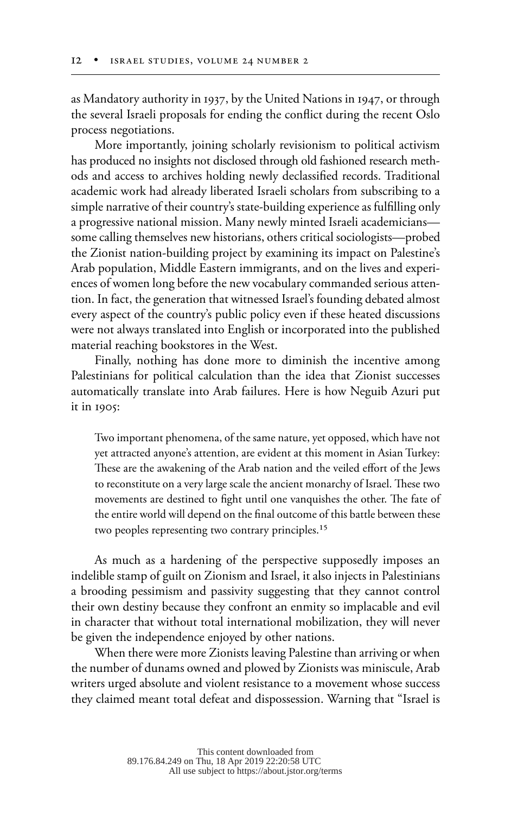as Mandatory authority in 1937, by the United Nations in 1947, or through the several Israeli proposals for ending the conflict during the recent Oslo process negotiations.

More importantly, joining scholarly revisionism to political activism has produced no insights not disclosed through old fashioned research methods and access to archives holding newly declassified records. Traditional academic work had already liberated Israeli scholars from subscribing to a simple narrative of their country's state-building experience as fulfilling only a progressive national mission. Many newly minted Israeli academicians some calling themselves new historians, others critical sociologists—probed the Zionist nation-building project by examining its impact on Palestine's Arab population, Middle Eastern immigrants, and on the lives and experiences of women long before the new vocabulary commanded serious attention. In fact, the generation that witnessed Israel's founding debated almost every aspect of the country's public policy even if these heated discussions were not always translated into English or incorporated into the published material reaching bookstores in the West.

Finally, nothing has done more to diminish the incentive among Palestinians for political calculation than the idea that Zionist successes automatically translate into Arab failures. Here is how Neguib Azuri put it in 1905:

Two important phenomena, of the same nature, yet opposed, which have not yet attracted anyone's attention, are evident at this moment in Asian Turkey: These are the awakening of the Arab nation and the veiled effort of the Jews to reconstitute on a very large scale the ancient monarchy of Israel. These two movements are destined to fight until one vanquishes the other. The fate of the entire world will depend on the final outcome of this battle between these two peoples representing two contrary principles.<sup>15</sup>

As much as a hardening of the perspective supposedly imposes an indelible stamp of guilt on Zionism and Israel, it also injects in Palestinians a brooding pessimism and passivity suggesting that they cannot control their own destiny because they confront an enmity so implacable and evil in character that without total international mobilization, they will never be given the independence enjoyed by other nations.

When there were more Zionists leaving Palestine than arriving or when the number of dunams owned and plowed by Zionists was miniscule, Arab writers urged absolute and violent resistance to a movement whose success they claimed meant total defeat and dispossession. Warning that "Israel is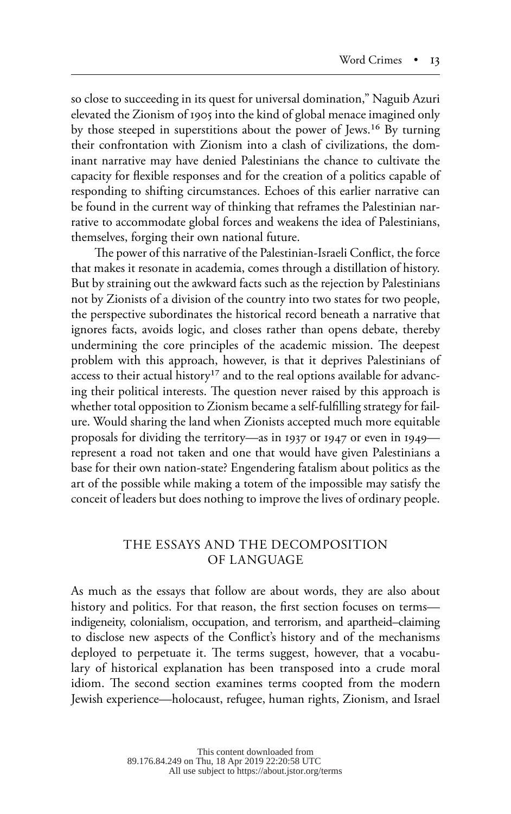so close to succeeding in its quest for universal domination," Naguib Azuri elevated the Zionism of 1905 into the kind of global menace imagined only by those steeped in superstitions about the power of Jews.16 By turning their confrontation with Zionism into a clash of civilizations, the dominant narrative may have denied Palestinians the chance to cultivate the capacity for flexible responses and for the creation of a politics capable of responding to shifting circumstances. Echoes of this earlier narrative can be found in the current way of thinking that reframes the Palestinian narrative to accommodate global forces and weakens the idea of Palestinians, themselves, forging their own national future.

The power of this narrative of the Palestinian-Israeli Conflict, the force that makes it resonate in academia, comes through a distillation of history. But by straining out the awkward facts such as the rejection by Palestinians not by Zionists of a division of the country into two states for two people, the perspective subordinates the historical record beneath a narrative that ignores facts, avoids logic, and closes rather than opens debate, thereby undermining the core principles of the academic mission. The deepest problem with this approach, however, is that it deprives Palestinians of access to their actual history<sup>17</sup> and to the real options available for advancing their political interests. The question never raised by this approach is whether total opposition to Zionism became a self-fulfilling strategy for failure. Would sharing the land when Zionists accepted much more equitable proposals for dividing the territory—as in 1937 or 1947 or even in 1949 represent a road not taken and one that would have given Palestinians a base for their own nation-state? Engendering fatalism about politics as the art of the possible while making a totem of the impossible may satisfy the conceit of leaders but does nothing to improve the lives of ordinary people.

## THE ESSAYS AND THE DECOMPOSITION OF LANGUAGE

As much as the essays that follow are about words, they are also about history and politics. For that reason, the first section focuses on terms indigeneity, colonialism, occupation, and terrorism, and apartheid–claiming to disclose new aspects of the Conflict's history and of the mechanisms deployed to perpetuate it. The terms suggest, however, that a vocabulary of historical explanation has been transposed into a crude moral idiom. The second section examines terms coopted from the modern Jewish experience—holocaust, refugee, human rights, Zionism, and Israel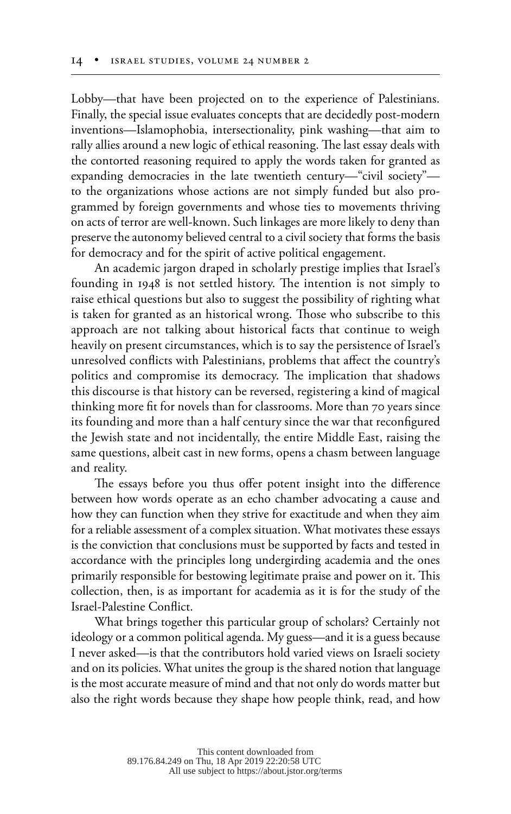Lobby—that have been projected on to the experience of Palestinians. Finally, the special issue evaluates concepts that are decidedly post-modern inventions—Islamophobia, intersectionality, pink washing—that aim to rally allies around a new logic of ethical reasoning. The last essay deals with the contorted reasoning required to apply the words taken for granted as expanding democracies in the late twentieth century—"civil society" to the organizations whose actions are not simply funded but also programmed by foreign governments and whose ties to movements thriving on acts of terror are well-known. Such linkages are more likely to deny than preserve the autonomy believed central to a civil society that forms the basis for democracy and for the spirit of active political engagement.

An academic jargon draped in scholarly prestige implies that Israel's founding in 1948 is not settled history. The intention is not simply to raise ethical questions but also to suggest the possibility of righting what is taken for granted as an historical wrong. Those who subscribe to this approach are not talking about historical facts that continue to weigh heavily on present circumstances, which is to say the persistence of Israel's unresolved conflicts with Palestinians, problems that affect the country's politics and compromise its democracy. The implication that shadows this discourse is that history can be reversed, registering a kind of magical thinking more fit for novels than for classrooms. More than 70 years since its founding and more than a half century since the war that reconfigured the Jewish state and not incidentally, the entire Middle East, raising the same questions, albeit cast in new forms, opens a chasm between language and reality.

The essays before you thus offer potent insight into the difference between how words operate as an echo chamber advocating a cause and how they can function when they strive for exactitude and when they aim for a reliable assessment of a complex situation. What motivates these essays is the conviction that conclusions must be supported by facts and tested in accordance with the principles long undergirding academia and the ones primarily responsible for bestowing legitimate praise and power on it. This collection, then, is as important for academia as it is for the study of the Israel-Palestine Conflict.

What brings together this particular group of scholars? Certainly not ideology or a common political agenda. My guess—and it is a guess because I never asked—is that the contributors hold varied views on Israeli society and on its policies. What unites the group is the shared notion that language is the most accurate measure of mind and that not only do words matter but also the right words because they shape how people think, read, and how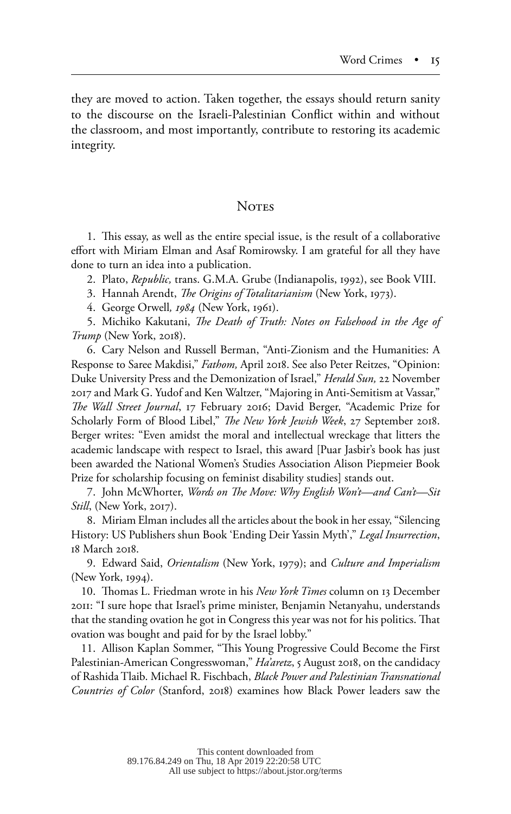they are moved to action. Taken together, the essays should return sanity to the discourse on the Israeli-Palestinian Conflict within and without the classroom, and most importantly, contribute to restoring its academic integrity.

#### **NOTES**

1. This essay, as well as the entire special issue, is the result of a collaborative effort with Miriam Elman and Asaf Romirowsky. I am grateful for all they have done to turn an idea into a publication.

2. Plato, *Republic,* trans. G.M.A. Grube (Indianapolis, 1992), see Book VIII.

3. Hannah Arendt, *The Origins of Totalitarianism* (New York, 1973).

4. George Orwell*, 1984* (New York, 1961).

5. Michiko Kakutani, *The Death of Truth: Notes on Falsehood in the Age of Trump* (New York, 2018).

6. Cary Nelson and Russell Berman, "Anti-Zionism and the Humanities: A Response to Saree Makdisi," *Fathom,* April 2018. See also Peter Reitzes, "Opinion: Duke University Press and the Demonization of Israel," *Herald Sun,* 22 November 2017 and Mark G. Yudof and Ken Waltzer, "Majoring in Anti-Semitism at Vassar," *The Wall Street Journal*, 17 February 2016; David Berger, "Academic Prize for Scholarly Form of Blood Libel," *The New York Jewish Week*, 27 September 2018. Berger writes: "Even amidst the moral and intellectual wreckage that litters the academic landscape with respect to Israel, this award [Puar Jasbir's book has just been awarded the National Women's Studies Association Alison Piepmeier Book Prize for scholarship focusing on feminist disability studies] stands out.

7. John McWhorter, *Words on The Move: Why English Won't—and Can't—Sit Still*, (New York, 2017).

8. Miriam Elman includes all the articles about the book in her essay, "Silencing History: US Publishers shun Book 'Ending Deir Yassin Myth'," *Legal Insurrection*, 18 March 2018.

9. Edward Said, *Orientalism* (New York, 1979); and *Culture and Imperialism* (New York, 1994).

10. Thomas L. Friedman wrote in his *New York Times* column on 13 December 2011: "I sure hope that Israel's prime minister, Benjamin Netanyahu, understands that the standing ovation he got in Congress this year was not for his politics. That ovation was bought and paid for by the Israel lobby."

11. Allison Kaplan Sommer, "This Young Progressive Could Become the First Palestinian-American Congresswoman," *Ha'aretz*, 5 August 2018, on the candidacy of Rashida Tlaib. Michael R. Fischbach, *Black Power and Palestinian Transnational Countries of Color* (Stanford, 2018) examines how Black Power leaders saw the